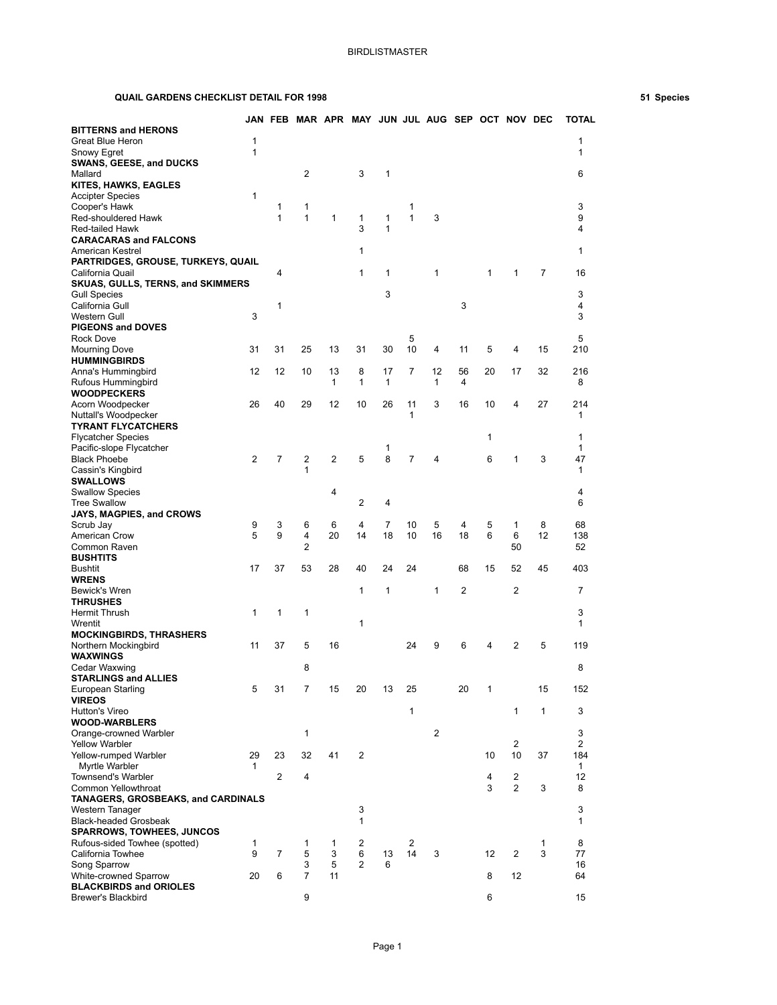## **QUAIL GARDENS CHECKLIST DETAIL FOR 1998 51 Species**

|                                                                 |                              |                | JAN FEB MAR APR MAY JUN JUL AUG SEP OCT NOV DEC |                |              |                |                |              |    |        |                |              | <b>TOTAL</b>        |
|-----------------------------------------------------------------|------------------------------|----------------|-------------------------------------------------|----------------|--------------|----------------|----------------|--------------|----|--------|----------------|--------------|---------------------|
| <b>BITTERNS and HERONS</b>                                      |                              |                |                                                 |                |              |                |                |              |    |        |                |              |                     |
| Great Blue Heron<br>Snowy Egret                                 | $\mathbf{1}$<br>$\mathbf{1}$ |                |                                                 |                |              |                |                |              |    |        |                |              | 1<br>1              |
| <b>SWANS, GEESE, and DUCKS</b>                                  |                              |                |                                                 |                |              |                |                |              |    |        |                |              |                     |
| Mallard                                                         |                              |                | $\overline{2}$                                  |                | 3            | 1              |                |              |    |        |                |              | 6                   |
| KITES, HAWKS, EAGLES<br><b>Accipter Species</b>                 | $\mathbf{1}$                 |                |                                                 |                |              |                |                |              |    |        |                |              |                     |
| Cooper's Hawk                                                   |                              | 1              | 1                                               |                |              |                | 1              |              |    |        |                |              | 3                   |
| Red-shouldered Hawk                                             |                              | $\mathbf{1}$   | 1                                               | $\mathbf{1}$   | 1            | 1              | $\mathbf{1}$   | 3            |    |        |                |              | 9                   |
| <b>Red-tailed Hawk</b><br><b>CARACARAS and FALCONS</b>          |                              |                |                                                 |                | 3            | 1              |                |              |    |        |                |              | 4                   |
| American Kestrel                                                |                              |                |                                                 |                | 1            |                |                |              |    |        |                |              | 1                   |
| PARTRIDGES, GROUSE, TURKEYS, QUAIL<br>California Quail          |                              | 4              |                                                 |                | 1            | 1              |                | 1            |    | 1      | 1              | 7            | 16                  |
| <b>SKUAS, GULLS, TERNS, and SKIMMERS</b>                        |                              |                |                                                 |                |              |                |                |              |    |        |                |              |                     |
| <b>Gull Species</b>                                             |                              |                |                                                 |                |              | 3              |                |              |    |        |                |              | 3                   |
| California Gull<br>Western Gull                                 | 3                            | 1              |                                                 |                |              |                |                |              | 3  |        |                |              | 4<br>3              |
| <b>PIGEONS and DOVES</b>                                        |                              |                |                                                 |                |              |                |                |              |    |        |                |              |                     |
| <b>Rock Dove</b>                                                |                              |                |                                                 |                |              |                | 5              |              |    |        |                |              | 5                   |
| <b>Mourning Dove</b><br><b>HUMMINGBIRDS</b>                     | 31                           | 31             | 25                                              | 13             | 31           | 30             | 10             | 4            | 11 | 5      | 4              | 15           | 210                 |
| Anna's Hummingbird                                              | 12                           | 12             | 10                                              | 13             | 8            | 17             | $\overline{7}$ | 12           | 56 | 20     | 17             | 32           | 216                 |
| Rufous Hummingbird                                              |                              |                |                                                 | 1              | 1            | 1              |                | 1            | 4  |        |                |              | 8                   |
| <b>WOODPECKERS</b><br>Acorn Woodpecker                          | 26                           | 40             | 29                                              | 12             | 10           | 26             | 11             | 3            | 16 | 10     | 4              | 27           | 214                 |
| Nuttall's Woodpecker                                            |                              |                |                                                 |                |              |                | 1              |              |    |        |                |              | 1                   |
| <b>TYRANT FLYCATCHERS</b>                                       |                              |                |                                                 |                |              |                |                |              |    |        |                |              |                     |
| <b>Flycatcher Species</b>                                       |                              |                |                                                 |                |              |                |                |              |    | 1      |                |              | 1<br>1              |
| Pacific-slope Flycatcher<br><b>Black Phoebe</b>                 | 2                            | $\overline{7}$ | 2                                               | $\overline{2}$ | 5            | 1<br>8         | $\overline{7}$ | 4            |    | 6      | 1              | 3            | 47                  |
| Cassin's Kingbird                                               |                              |                | 1                                               |                |              |                |                |              |    |        |                |              | 1                   |
| <b>SWALLOWS</b>                                                 |                              |                |                                                 |                |              |                |                |              |    |        |                |              |                     |
| <b>Swallow Species</b><br><b>Tree Swallow</b>                   |                              |                |                                                 | 4              | 2            | 4              |                |              |    |        |                |              | 4<br>6              |
| <b>JAYS, MAGPIES, and CROWS</b>                                 |                              |                |                                                 |                |              |                |                |              |    |        |                |              |                     |
| Scrub Jay                                                       | 9                            | 3<br>9         | 6                                               | 6              | 4            | $\overline{7}$ | 10             | 5            | 4  | 5<br>6 | $\mathbf{1}$   | 8<br>12      | 68                  |
| American Crow<br>Common Raven                                   | 5                            |                | 4<br>$\overline{2}$                             | 20             | 14           | 18             | 10             | 16           | 18 |        | 6<br>50        |              | 138<br>52           |
| <b>BUSHTITS</b>                                                 |                              |                |                                                 |                |              |                |                |              |    |        |                |              |                     |
| <b>Bushtit</b>                                                  | 17                           | 37             | 53                                              | 28             | 40           | 24             | 24             |              | 68 | 15     | 52             | 45           | 403                 |
| <b>WRENS</b><br>Bewick's Wren                                   |                              |                |                                                 |                | 1            | 1              |                | $\mathbf{1}$ | 2  |        | $\overline{2}$ |              | $\overline{7}$      |
| <b>THRUSHES</b>                                                 |                              |                |                                                 |                |              |                |                |              |    |        |                |              |                     |
| Hermit Thrush                                                   | 1                            | 1              | 1                                               |                |              |                |                |              |    |        |                |              | 3                   |
| Wrentit<br><b>MOCKINGBIRDS, THRASHERS</b>                       |                              |                |                                                 |                | 1            |                |                |              |    |        |                |              | 1                   |
| Northern Mockingbird                                            | 11                           | 37             | 5                                               | 16             |              |                | 24             | 9            | 6  | 4      | 2              | 5            | 119                 |
| <b>WAXWINGS</b>                                                 |                              |                |                                                 |                |              |                |                |              |    |        |                |              |                     |
| Cedar Waxwing<br><b>STARLINGS and ALLIES</b>                    |                              |                | 8                                               |                |              |                |                |              |    |        |                |              | 8                   |
| European Starling                                               | 5                            | 31             | 7                                               | 15             | 20           | 13             | 25             |              | 20 | 1      |                | 15           | 152                 |
| <b>VIREOS</b>                                                   |                              |                |                                                 |                |              |                |                |              |    |        |                |              |                     |
| Hutton's Vireo<br><b>WOOD-WARBLERS</b>                          |                              |                |                                                 |                |              |                | 1              |              |    |        | $\mathbf{1}$   | $\mathbf{1}$ | 3                   |
| Orange-crowned Warbler                                          |                              |                | 1                                               |                |              |                |                | 2            |    |        |                |              | 3                   |
| <b>Yellow Warbler</b>                                           |                              |                |                                                 |                |              |                |                |              |    |        | 2              |              | 2                   |
| Yellow-rumped Warbler<br>Myrtle Warbler                         | 29<br>1                      | 23             | 32                                              | 41             | 2            |                |                |              |    | 10     | 10             | 37           | 184<br>$\mathbf{1}$ |
| <b>Townsend's Warbler</b>                                       |                              | $\overline{c}$ | 4                                               |                |              |                |                |              |    | 4      | $\sqrt{2}$     |              | 12                  |
| Common Yellowthroat                                             |                              |                |                                                 |                |              |                |                |              |    | 3      | $\overline{2}$ | 3            | 8                   |
| TANAGERS, GROSBEAKS, and CARDINALS<br>3<br>3<br>Western Tanager |                              |                |                                                 |                |              |                |                |              |    |        |                |              |                     |
| <b>Black-headed Grosbeak</b>                                    |                              |                |                                                 |                | $\mathbf{1}$ |                |                |              |    |        |                |              | 1                   |
| <b>SPARROWS, TOWHEES, JUNCOS</b>                                |                              |                |                                                 |                |              |                |                |              |    |        |                |              |                     |
| Rufous-sided Towhee (spotted)                                   | 1                            |                | 1                                               | $\mathbf 1$    | 2            |                | 2              |              |    |        |                | 1            | 8                   |
| California Towhee<br>Song Sparrow                               | 9                            | $\overline{7}$ | 5<br>3                                          | 3<br>5         | 6<br>2       | 13<br>6        | 14             | 3            |    | 12     | $\overline{2}$ | 3            | 77<br>16            |
| White-crowned Sparrow                                           | 20                           | 6              | $\overline{7}$                                  | 11             |              |                |                |              |    | 8      | 12             |              | 64                  |
| <b>BLACKBIRDS and ORIOLES</b>                                   |                              |                |                                                 |                |              |                |                |              |    |        |                |              |                     |
| Brewer's Blackbird                                              |                              |                | 9                                               |                |              |                |                |              |    | 6      |                |              | 15                  |